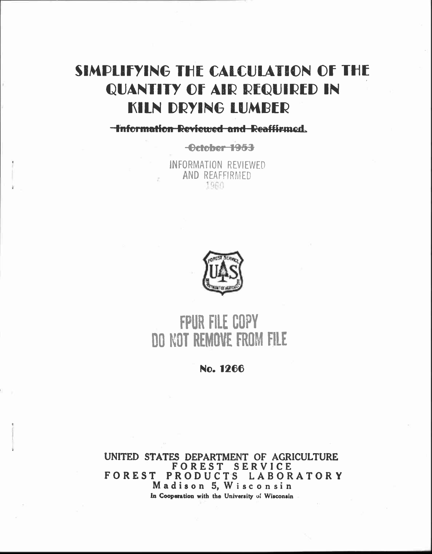## SIMPLIFYING THE CALCULATION OF THE QUANTITY OF AIR REQUIRED IN KILN DRYING LUMBER

**-Information Reviewed and Reaffirmed.** 

**-ecteb@r-ir963.**

INFORMATION REVIEWED AND REAFFIRMED 196i



# **FPUR FILE COPY DO NOT REMOVE FROM FILE**

**No. 1266**

**UNITED STATES DEPARTMENT OF AGRICULTURE FOREST SERVICE FOREST PRODUCTS LABORATORY Madison 5,Wisconsin In Cooperation with the University of Wisconsin**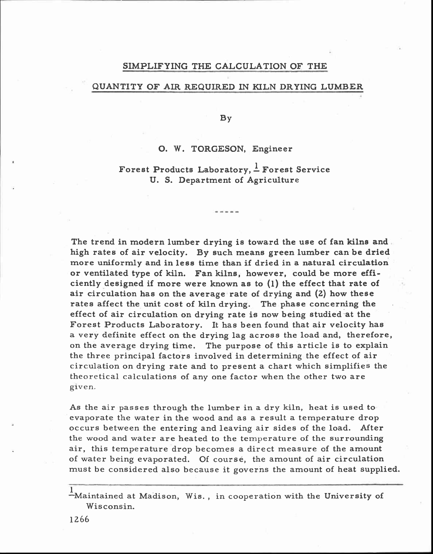### SIMPLIFYING THE CALCULATION OF THE

#### QUANTITY OF AIR REQUIRED IN KILN DRYING LUMBER

By

#### **0. W.** TORGESON, Engineer

### Forest Products Laboratory,  $\frac{1}{n}$  Forest Service U. S. Department of Agriculture

-----

The trend in modern lumber drying is toward the use of fan kilns and high rates of air velocity. By such means green lumber can be dried more uniformly and in less time than if dried in a natural circulation or ventilated type of kiln. Fan kilns, however, could be more efficiently designed if more were known as to (1) the effect that rate of air circulation has on the average rate of drying and (2) how these rates affect the unit cost of kiln drying. The phase concerning the effect of air circulation on drying rate is now being studied at the Forest Products Laboratory. It has been found that air velocity has a very definite effect on the drying lag across the load and, therefore, on the average drying time. The purpose of this article is to explain the three principal factors involved in determining the effect of air circulation on drying rate and to present a chart which simplifies the theoretical calculations of any one factor when the other two are given.

As the air passes through the lumber in a dry kiln, heat is used to evaporate the water in the wood and as a result a temperature drop occurs between the entering and leaving air sides of the load. After the wood and water are heated to the temperature of the surrounding air, this temperature drop becomes a direct measure of the amount of water being evaporated. Of course, the amount of air circulation must be considered also because it governs the amount of heat supplied.

 $\frac{1}{2}$ Maintained at Madison, Wis., in cooperation with the University of Wisconsin.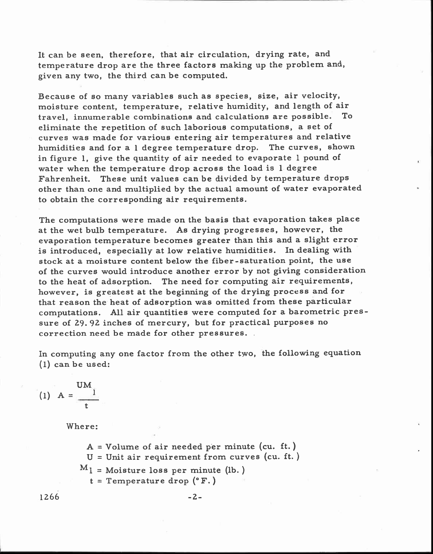It can be seen, therefore, that air circulation, drying rate, and temperature drop are the three factors making up the problem and, given any two, the third can be computed.

Because of so many variables such as species, size, air velocity, moisture content, temperature, relative humidity, and length of air travel, innumerable combinations and calculations are possible. To eliminate the repetition of such laborious computations, a set of curves was made for various entering air temperatures and relative humidities and for a 1 degree temperature drop. The curves, shown in figure 1, give the quantity of air needed to evaporate 1 pound of water when the temperature drop across the load is 1 degree Fahrenheit. These unit values can be divided by temperature drops other than one and multiplied by the actual amount of water evaporated to obtain the corresponding air requirements.

The computations were made on the basis that evaporation takes place at the wet bulb temperature. As drying progresses, however, the evaporation temperature becomes greater than this and a slight error is introduced, especially at low relative humidities. In dealing with stock at a moisture content below the fiber-saturation point, the use of the curves would introduce another error by not giving consideration to the heat of adsorption. The need for computing air requirements, however, is greatest at the beginning of the drying process and for that reason the heat of adsorption was omitted from these particular computations. All air quantities were computed for a barometric pressure of 29.92 inches of mercury, but for practical purposes no correction need be made for other pressures.

In computing any one factor from the other two, the following equation (1) can be used:

$$
(1) A = \frac{UM_1}{t}
$$

Where:

 $A = Volume of air needed per minute (cu. ft.)$  $U =$  Unit air requirement from curves (cu. ft.)  $M_l$  = Moisture loss per minute (lb.)  $t = T$ emperature drop  $(°F.)$ 

$$
1266 \qquad \qquad -2 -
$$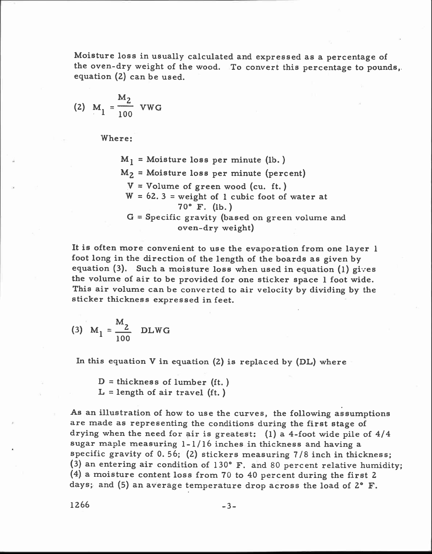Moisture loss in usually calculated and expressed as a percentage of the oven-dry weight of the wood. To convert this percentage to pounds, equation (2) can be used.

(2) 
$$
M_1 = \frac{M_2}{100}
$$
 VWG

Where:

 $M_1$  = Moisture loss per minute (lb.)  $M_2$  = Moisture loss per minute (percent)  $V = Volume of green wood (cu. ft.)$  $W = 62.3$  = weight of 1 cubic foot of water at 70° F. (lb. )  $G =$  Specific gravity (based on green volume and oven-dry weight)

It is often more convenient to use the evaporation from one layer 1 foot long in the direction of the length of the boards as given by equation  $(3)$ . Such a moisture loss when used in equation  $(1)$  gives the volume of air to be provided for one sticker space 1 foot wide. This air volume can be converted to air velocity by dividing by the sticker thickness expressed in feet.

(3) 
$$
M_1 = \frac{M_2}{100}
$$
 DLWG

In this equation  $V$  in equation  $(2)$  is replaced by  $(DL)$  where

 $D =$  thickness of lumber (ft.)  $L =$  length of air travel (ft.)

As an illustration of how to use the curves, the following assumptions are made as representing the conditions during the first stage of drying when the need for air is greatest:  $(1)$  a 4-foot wide pile of  $4/4$ sugar maple measuring 1-1/16 inches in thickness and having a specific gravity of 0. 56; (2) stickers measuring 7/8 inch in thickness; (3) an entering air condition of 130° F. and 80 percent relative humidity; (4) a moisture content loss from 70 to 40 percent during the first 2 days; and (5) an average temperature drop across the load of 2° F.

 $1266$  -3-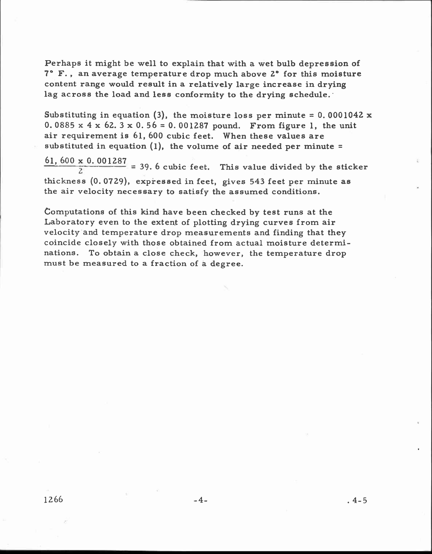Perhaps it might be well to explain that with a wet bulb depression of 7° F. , an average temperature drop much above 2° for this moisture content range would result in a relatively large increase in drying lag across the load and less conformity to the drying schedule.

Substituting in equation  $(3)$ , the moisture loss per minute = 0.0001042 x 0. 0885  $x$  4  $x$  62. 3  $x$  0. 56 = 0. 001287 pound. From figure 1, the unit air requirement is 61, 600 cubic feet. When these values are substituted in equation  $(1)$ , the volume of air needed per minute =

 $\frac{61,600 \times 0.001287}{2}$  = 39.6 cubic feet. This value divided by the sticker thickness (0. 0729), expressed in feet, gives 543 feet per minute as the air velocity necessary to satisfy the assumed conditions.

Computations of this kind have been checked by test runs at the Laboratory even to the extent of plotting drying curves from air velocity and temperature drop measurements and finding that they coincide closely with those obtained from actual moisture determinations. To obtain a close check, however, the temperature drop must be measured to a fraction of a degree.